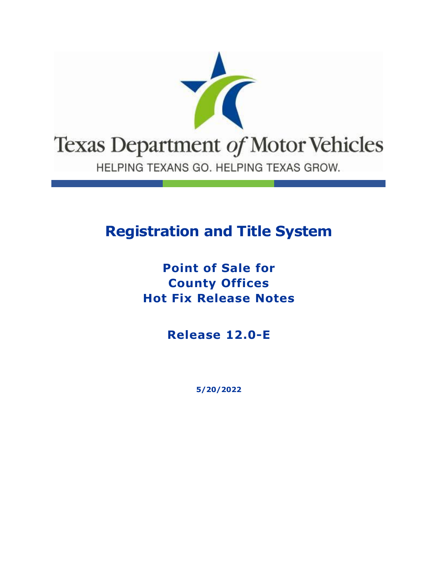

# **Registration and Title System**

### **Point of Sale for County Offices Hot Fix Release Notes**

**Release 12.0-E**

**5/20/2022**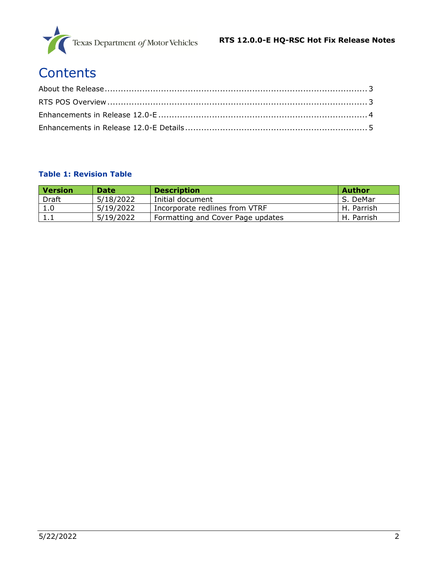

# **Contents**

#### **Table 1: Revision Table**

| <b>Version</b> | <b>Date</b> | <b>Description</b>                | Author     |
|----------------|-------------|-----------------------------------|------------|
| <b>Draft</b>   | 5/18/2022   | Initial document                  | S. DeMar   |
| 1.0            | 5/19/2022   | Incorporate redlines from VTRF    | H. Parrish |
| 1.1            | 5/19/2022   | Formatting and Cover Page updates | H. Parrish |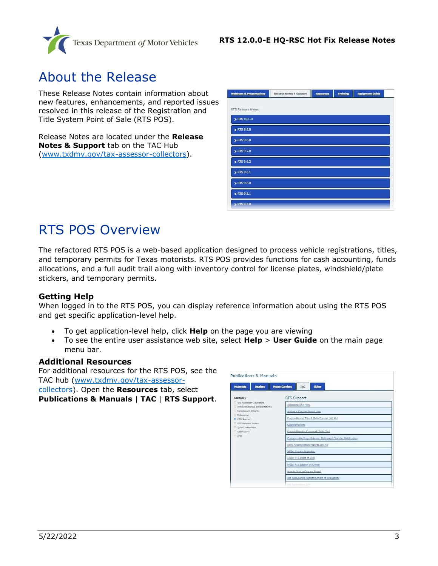

### <span id="page-2-0"></span>About the Release

These Release Notes contain information about new features, enhancements, and reported issues resolved in this release of the Registration and Title System Point of Sale (RTS POS).

Release Notes are located under the **Release Notes & Support** tab on the TAC Hub [\(www.txdmv.gov/tax-assessor-collectors\)](http://www.txdmv.gov/tax-assessor-collectors).

| <b>Webinars &amp; Presentations</b> | Release Notes & Support | Resources | <b>Training</b> | <b>Equipment Guide</b> |  |
|-------------------------------------|-------------------------|-----------|-----------------|------------------------|--|
|                                     |                         |           |                 |                        |  |
| RTS Release Notes                   |                         |           |                 |                        |  |
| > RTS 10.1.0                        |                         |           |                 |                        |  |
| > RTS 9.9.0                         |                         |           |                 |                        |  |
| > RTS 9.8.0                         |                         |           |                 |                        |  |
| > RTS 9.7.0                         |                         |           |                 |                        |  |
| ETS 9.6.2                           |                         |           |                 |                        |  |
| RTS 9.6.1                           |                         |           |                 |                        |  |
| $\blacktriangleright$ RTS 9.6.0     |                         |           |                 |                        |  |
| > RTS 9.5.1                         |                         |           |                 |                        |  |
| > RTS 9.5.0                         |                         |           |                 |                        |  |

## <span id="page-2-1"></span>RTS POS Overview

The refactored RTS POS is a web-based application designed to process vehicle registrations, titles, and temporary permits for Texas motorists. RTS POS provides functions for cash accounting, funds allocations, and a full audit trail along with inventory control for license plates, windshield/plate stickers, and temporary permits.

#### **Getting Help**

When logged in to the RTS POS, you can display reference information about using the RTS POS and get specific application-level help.

- To get application-level help, click **Help** on the page you are viewing
- To see the entire user assistance web site, select **Help** > **User Guide** on the main page menu bar.

#### **Additional Resources**

For additional resources for the RTS POS, see the TAC hub [\(www.txdmv.gov/tax-assessor](http://www.txdmv.gov/tax-assessor-collectors)[collectors\)](http://www.txdmv.gov/tax-assessor-collectors). Open the **Resources** tab, select

**Publications & Manuals** | **TAC** | **RTS Support**.

| <b>Publications &amp; Manuals</b>                                              |                                                              |  |  |  |
|--------------------------------------------------------------------------------|--------------------------------------------------------------|--|--|--|
| <b>Dealers</b><br><b>Motorists</b>                                             | Other<br><b>Motor Carriers</b><br>TAC.                       |  |  |  |
| Category                                                                       | RTS Support                                                  |  |  |  |
| D. Tax Assessor-Collectors<br>D InfoXchanges & Presentations                   | Accessing OTA Files                                          |  |  |  |
| D. Foreclosure Charts                                                          | Adding a Cognos Report User                                  |  |  |  |
| D. Reference<br>RTS Support                                                    | Cognos Report Title & Data Content Job Ald                   |  |  |  |
| D. RTS Release Notes<br><sup>D</sup> Duick Reference<br>D. webAGENT<br>$D$ LMS | Cognos Reports                                               |  |  |  |
|                                                                                | Cognos Reports Crosswalk Table Tent                          |  |  |  |
|                                                                                | Customizable Press Release: Delinquent Transfer Notification |  |  |  |
|                                                                                | Daily Reconciliation Reports Job Aid                         |  |  |  |
|                                                                                | FAQs: Cognos Reporting                                       |  |  |  |
|                                                                                | FAQs: RTS Point of Sale                                      |  |  |  |
|                                                                                | FAQs: RTS Search by Owner                                    |  |  |  |
|                                                                                | How to Print a Cognos Report                                 |  |  |  |
|                                                                                | Job Aid Cognos Reports Length of Availability                |  |  |  |
|                                                                                | Sons died Determine Them                                     |  |  |  |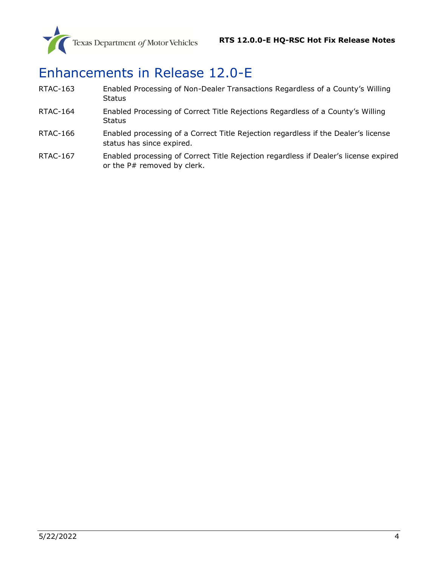

# <span id="page-3-0"></span>Enhancements in Release 12.0-E

- RTAC-163 [Enabled Processing of Non-Dealer Transactions Regar](#page-4-1)dless of a County's Willing **[Status](#page-4-1)**
- RTAC-164 [Enabled Processing of Correct Title Rejections Regardless of a County's Willing](#page-5-0)  **[Status](#page-5-0)**
- RTAC-166 Enabled processing of a Correct Title Rejection regardless if the Dealer's license status has since expired.
- RTAC-167 Enabled processing of Correct Title Rejection regardless if Dealer's license expired or the P# removed by clerk.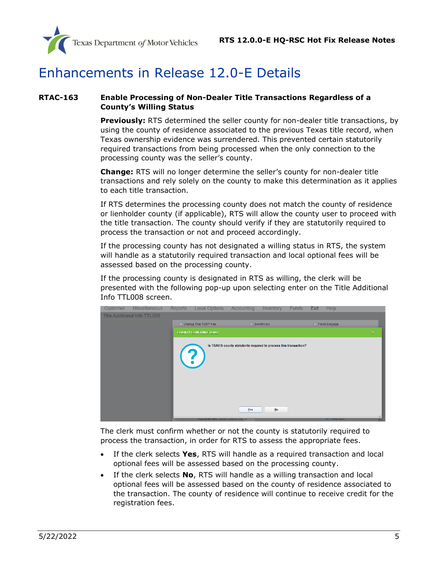

### <span id="page-4-0"></span>Enhancements in Release 12.0-E Details

#### <span id="page-4-1"></span>**RTAC-163 Enable Processing of Non-Dealer Title Transactions Regardless of a County's Willing Status**

**Previously:** RTS determined the seller county for non-dealer title transactions, by using the county of residence associated to the previous Texas title record, when Texas ownership evidence was surrendered. This prevented certain statutorily required transactions from being processed when the only connection to the processing county was the seller's county.

**Change:** RTS will no longer determine the seller's county for non-dealer title transactions and rely solely on the county to make this determination as it applies to each title transaction.

If RTS determines the processing county does not match the county of residence or lienholder county (if applicable), RTS will allow the county user to proceed with the title transaction. The county should verify if they are statutorily required to process the transaction or not and proceed accordingly.

If the processing county has not designated a willing status in RTS, the system will handle as a statutorily required transaction and local optional fees will be assessed based on the processing county.

If the processing county is designated in RTS as willing, the clerk will be presented with the following pop-up upon selecting enter on the Title Additional Info TTL008 screen.



The clerk must confirm whether or not the county is statutorily required to process the transaction, in order for RTS to assess the appropriate fees.

- If the clerk selects **Yes**, RTS will handle as a required transaction and local optional fees will be assessed based on the processing county.
- If the clerk selects **No**, RTS will handle as a willing transaction and local optional fees will be assessed based on the county of residence associated to the transaction. The county of residence will continue to receive credit for the registration fees.